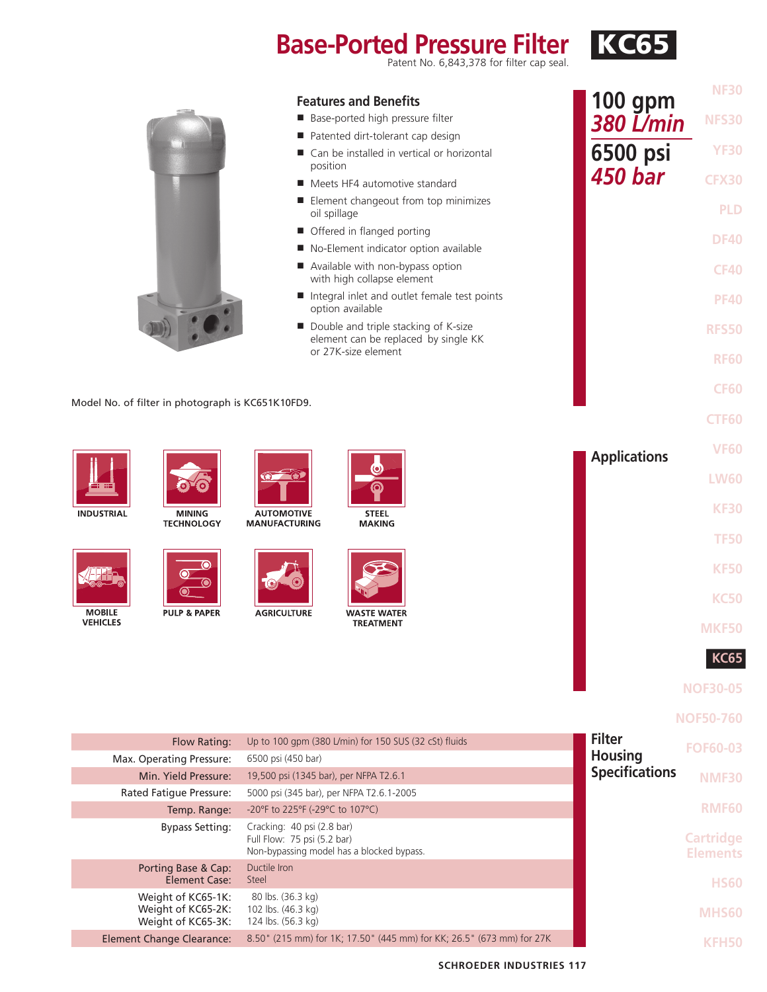# **Base-Ported Pressure Filter KC65**

|                                                                | <b>Features and Benefits</b><br>Base-ported high pressure filter                                    | <b>NF30</b><br><b>100 gpm</b><br><b>380 L/min</b><br><b>NFS30</b> |  |
|----------------------------------------------------------------|-----------------------------------------------------------------------------------------------------|-------------------------------------------------------------------|--|
|                                                                | Patented dirt-tolerant cap design                                                                   |                                                                   |  |
|                                                                | ■ Can be installed in vertical or horizontal<br>position                                            | 6500 psi<br><b>YF30</b>                                           |  |
|                                                                | Meets HF4 automotive standard                                                                       | 450 bar<br><b>CFX30</b>                                           |  |
|                                                                | ■ Element changeout from top minimizes<br>oil spillage                                              | <b>PLD</b>                                                        |  |
|                                                                | Offered in flanged porting                                                                          | <b>DF40</b>                                                       |  |
|                                                                | No-Element indicator option available                                                               |                                                                   |  |
|                                                                | Available with non-bypass option<br>with high collapse element                                      | <b>CF40</b>                                                       |  |
|                                                                | Integral inlet and outlet female test points<br>option available                                    | <b>PF40</b>                                                       |  |
|                                                                | Double and triple stacking of K-size<br>element can be replaced by single KK<br>or 27K-size element | <b>RFS50</b>                                                      |  |
|                                                                |                                                                                                     | <b>RF60</b>                                                       |  |
|                                                                |                                                                                                     | <b>CF60</b>                                                       |  |
| Model No. of filter in photograph is KC651K10FD9.              |                                                                                                     |                                                                   |  |
|                                                                |                                                                                                     | <b>CTF60</b>                                                      |  |
|                                                                |                                                                                                     | <b>VF60</b><br><b>Applications</b>                                |  |
|                                                                | $\circ$ $\circ$                                                                                     | <b>LW60</b>                                                       |  |
| <b>INDUSTRIAL</b><br><b>MINING</b><br><b>TECHNOLOGY</b>        | <b>AUTOMOTIVE</b><br><b>STEEL</b><br><b>MANUFACTURING</b><br><b>MAKING</b>                          | <b>KF30</b>                                                       |  |
|                                                                |                                                                                                     | <b>TF50</b>                                                       |  |
| 0                                                              |                                                                                                     | <b>KF50</b>                                                       |  |
| O<br>$\mathbf{\Theta}$                                         |                                                                                                     | <b>KC50</b>                                                       |  |
| <b>MOBILE</b><br><b>PULP &amp; PAPER</b><br><b>VEHICLES</b>    | <b>AGRICULTURE</b><br><b>WASTE WATER</b><br><b>TREATMENT</b>                                        |                                                                   |  |
|                                                                |                                                                                                     | MKF50                                                             |  |
|                                                                |                                                                                                     | KC6.                                                              |  |
|                                                                |                                                                                                     | <b>NOF30-05</b>                                                   |  |
|                                                                |                                                                                                     |                                                                   |  |
|                                                                |                                                                                                     | <b>NOF50-760</b>                                                  |  |
| Flow Rating:                                                   | Up to 100 gpm (380 L/min) for 150 SUS (32 cSt) fluids                                               | <b>Filter</b><br><b>FOF60-03</b>                                  |  |
| Max. Operating Pressure:                                       | 6500 psi (450 bar)                                                                                  | <b>Housing</b>                                                    |  |
| Min. Yield Pressure:                                           | 19,500 psi (1345 bar), per NFPA T2.6.1                                                              | <b>Specifications</b><br><b>NMF30</b>                             |  |
| Rated Fatigue Pressure:<br>Temp. Range:                        | 5000 psi (345 bar), per NFPA T2.6.1-2005<br>-20°F to 225°F (-29°C to 107°C)                         | <b>RMF60</b>                                                      |  |
| <b>Bypass Setting:</b>                                         | Cracking: 40 psi (2.8 bar)                                                                          |                                                                   |  |
|                                                                | Full Flow: 75 psi (5.2 bar)<br>Non-bypassing model has a blocked bypass.                            | <b>Cartridge</b><br><b>Elements</b>                               |  |
| Porting Base & Cap:<br><b>Element Case:</b>                    | Ductile Iron<br>Steel                                                                               | <b>HS60</b>                                                       |  |
| Weight of KC65-1K:<br>Weight of KC65-2K:<br>Weight of KC65-3K: | 80 lbs. (36.3 kg)<br>102 lbs. (46.3 kg)<br>124 lbs. (56.3 kg)                                       | MHS60                                                             |  |

Element Change Clearance: 8.50" (215 mm) for 1K; 17.50" (445 mm) for KK; 26.5" (673 mm) for 27K

**KFH50**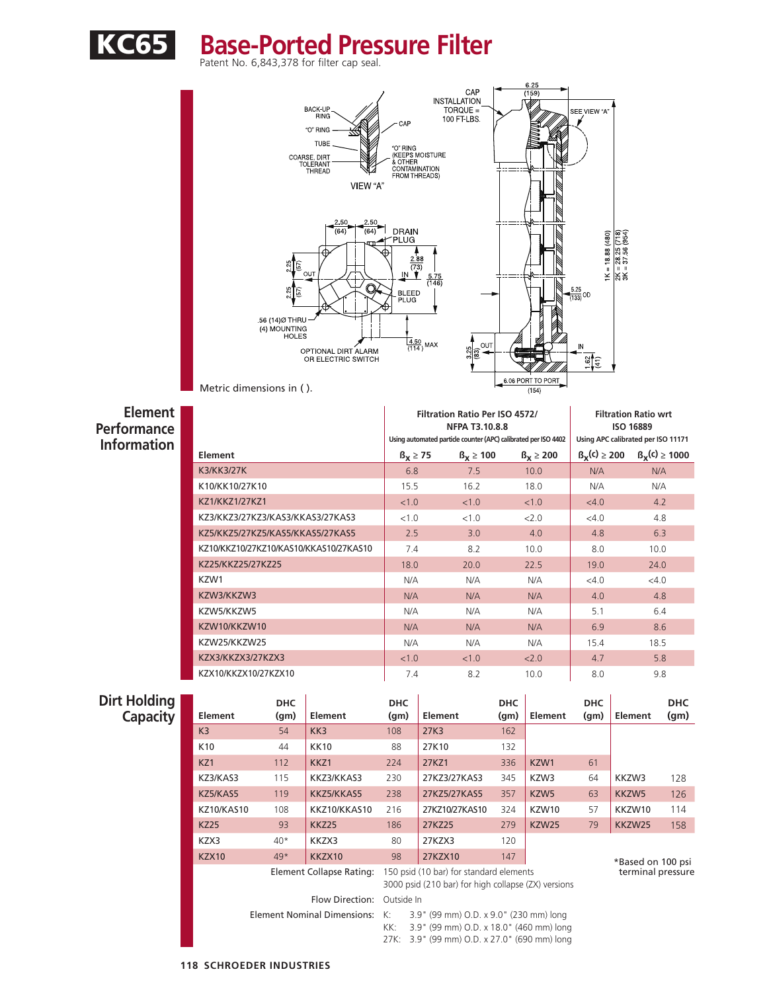

## KC65 **Base-Ported Pressure Filter**



#### **Element**

**Performance Information**

|                                        |                   | Filtration Ratio Per ISO 4572/<br><b>NFPA T3.10.8.8</b>        | <b>Filtration Ratio wrt</b><br><b>ISO 16889</b> |                                    |                   |  |
|----------------------------------------|-------------------|----------------------------------------------------------------|-------------------------------------------------|------------------------------------|-------------------|--|
|                                        |                   | Using automated particle counter (APC) calibrated per ISO 4402 |                                                 | Using APC calibrated per ISO 11171 |                   |  |
| Element                                | $\beta_x \geq 75$ | $\beta_x \ge 100$                                              | $\beta_x \ge 200$                               | $\beta_{\rm V}$ (c) $\geq 200$     | $B_x(c) \ge 1000$ |  |
| <b>K3/KK3/27K</b>                      | 6.8               | 7.5                                                            | 10.0                                            | N/A                                | N/A               |  |
| K10/KK10/27K10                         | 15.5              | 16.2                                                           | 18.0                                            | N/A                                | N/A               |  |
| KZ1/KKZ1/27KZ1                         | < 1.0             | < 1.0                                                          | < 1.0                                           | <4.0                               | 4.2               |  |
| KZ3/KKZ3/27KZ3/KAS3/KKAS3/27KAS3       | < 1.0             | < 1.0                                                          | 2.0                                             | $<$ 4.0                            | 4.8               |  |
| KZ5/KKZ5/27KZ5/KAS5/KKAS5/27KAS5       | 2.5               | 3.0                                                            | 4.0                                             | 4.8                                | 6.3               |  |
| KZ10/KKZ10/27KZ10/KAS10/KKAS10/27KAS10 | 7.4               | 8.2                                                            | 10.0                                            | 8.0                                | 10.0              |  |
| KZ25/KKZ25/27KZ25                      | 18.0              | 20.0                                                           | 22.5                                            | 19.0                               | 24.0              |  |
| KZW1                                   | N/A               | N/A                                                            | N/A                                             | $<$ 4.0                            | $<$ 4.0           |  |
| KZW3/KKZW3                             | N/A               | N/A                                                            | N/A                                             | 4.0                                | 4.8               |  |
| KZW5/KKZW5                             | N/A               | N/A                                                            | N/A                                             | 5.1                                | 6.4               |  |
| KZW10/KKZW10                           | N/A               | N/A                                                            | N/A                                             | 6.9                                | 8.6               |  |
| KZW25/KKZW25                           | N/A               | N/A                                                            | N/A                                             | 15.4                               | 18.5              |  |
| KZX3/KKZX3/27KZX3                      | < 1.0             | < 1.0                                                          | 2.0                                             | 4.7                                | 5.8               |  |
| KZX10/KKZX10/27KZX10                   | 7.4               | 8.2                                                            | 10.0                                            | 8.0                                | 9.8               |  |

### **Dirt Holding**

| t Holding<br><b>Capacity</b> | Element           | <b>DHC</b><br>(g <sub>m</sub> ) | Element                        | <b>DHC</b><br>(g <sub>m</sub> )                                                                | Element                                | <b>DHC</b><br>(g <sub>m</sub> ) | Element          | <b>DHC</b><br>(qm) | Element           | <b>DHC</b><br>(g <sub>m</sub> ) |
|------------------------------|-------------------|---------------------------------|--------------------------------|------------------------------------------------------------------------------------------------|----------------------------------------|---------------------------------|------------------|--------------------|-------------------|---------------------------------|
|                              | K3                | 54                              | KK3                            | 108                                                                                            | 27K3                                   | 162                             |                  |                    |                   |                                 |
|                              | K <sub>10</sub>   | 44                              | <b>KK10</b>                    | 88                                                                                             | 27K10                                  | 132                             |                  |                    |                   |                                 |
|                              | KZ1               | 112                             | KKZ1                           | 224                                                                                            | 27KZ1                                  | 336                             | KZW1             | 61                 |                   |                                 |
|                              | KZ3/KAS3          | 115                             | KKZ3/KKAS3                     | 230                                                                                            | 27KZ3/27KAS3                           | 345                             | KZW3             | 64                 | KKZW3             | 128                             |
|                              | KZ5/KAS5          | 119                             | KKZ5/KKAS5                     | 238                                                                                            | 27KZ5/27KAS5                           | 357                             | KZW <sub>5</sub> | 63                 | KKZW5             | 126                             |
|                              | <b>KZ10/KAS10</b> | 108                             | KKZ10/KKAS10                   | 216                                                                                            | 27KZ10/27KAS10                         | 324                             | KZW10            | 57                 | KKZW10            | 114                             |
|                              | <b>KZ25</b>       | 93                              | <b>KKZ25</b>                   | 186                                                                                            | 27KZ25                                 | 279                             | KZW25            | 79                 | KKZW25            | 158                             |
|                              | KZX3              | $40*$                           | KKZX3                          | 80                                                                                             | 27KZX3                                 | 120                             |                  |                    |                   |                                 |
|                              | <b>KZX10</b>      | $49*$                           | KKZX10                         | 98                                                                                             | 27KZX10                                | 147                             |                  |                    | *Based on 100 psi |                                 |
|                              |                   |                                 | Element Collapse Rating:       | 150 psid (10 bar) for standard elements<br>3000 psid (210 bar) for high collapse (ZX) versions |                                        |                                 |                  |                    | terminal pressure |                                 |
|                              |                   |                                 | Flow Direction:                | Outside In                                                                                     |                                        |                                 |                  |                    |                   |                                 |
|                              |                   |                                 | Element Nominal Dimensions: K: |                                                                                                | 3.9" (99 mm) O.D. x 9.0" (230 mm) long |                                 |                  |                    |                   |                                 |

KK: 3.9" (99 mm) O.D. x 18.0" (460 mm) long 27K: 3.9" (99 mm) O.D. x 27.0" (690 mm) long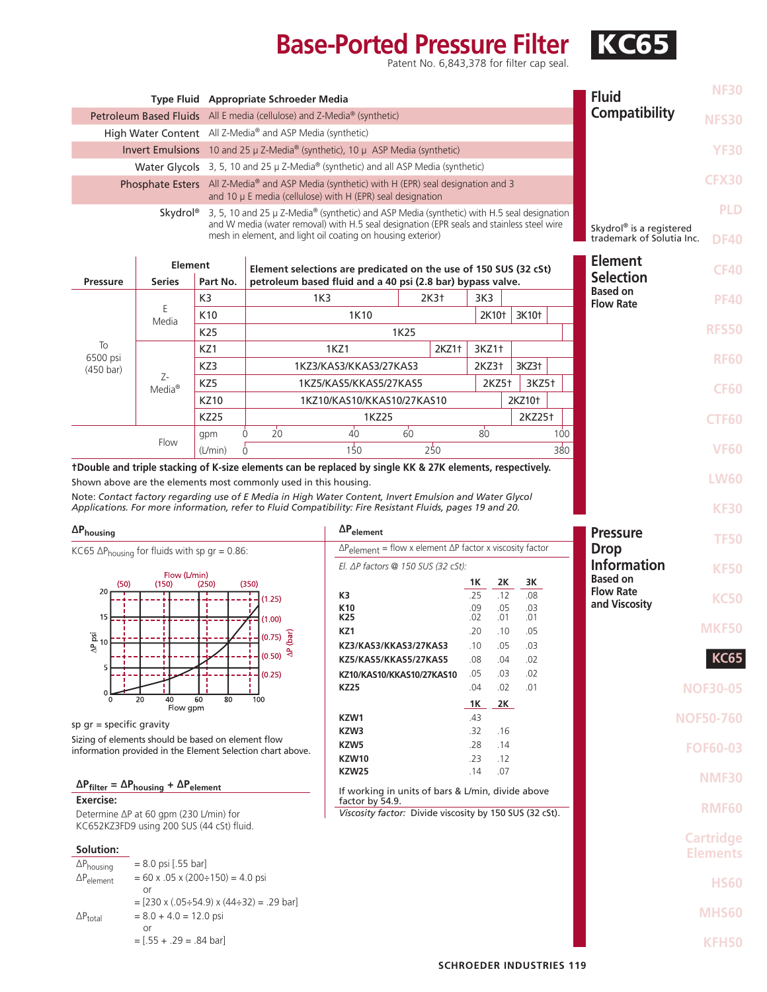# **Base-Ported Pressure Filter KC65**

|                                                                                                                                                               |                                                                                                                                                                                                                                                                                                    |                 | Type Fluid Appropriate Schroeder Media                                                                                                                                        |                                                                            |                  |       |                   |               |                    |              | <b>Fluid</b>                          | <b>NF30</b>                      |
|---------------------------------------------------------------------------------------------------------------------------------------------------------------|----------------------------------------------------------------------------------------------------------------------------------------------------------------------------------------------------------------------------------------------------------------------------------------------------|-----------------|-------------------------------------------------------------------------------------------------------------------------------------------------------------------------------|----------------------------------------------------------------------------|------------------|-------|-------------------|---------------|--------------------|--------------|---------------------------------------|----------------------------------|
| Petroleum Based Fluids All E media (cellulose) and Z-Media <sup>®</sup> (synthetic)                                                                           |                                                                                                                                                                                                                                                                                                    |                 |                                                                                                                                                                               |                                                                            |                  |       |                   | Compatibility | <b>NFS30</b>       |              |                                       |                                  |
| High Water Content All Z-Media® and ASP Media (synthetic)                                                                                                     |                                                                                                                                                                                                                                                                                                    |                 |                                                                                                                                                                               |                                                                            |                  |       |                   |               |                    |              |                                       |                                  |
| Invert Emulsions 10 and 25 µ Z-Media® (synthetic), 10 µ ASP Media (synthetic)                                                                                 |                                                                                                                                                                                                                                                                                                    |                 |                                                                                                                                                                               |                                                                            |                  |       |                   |               |                    | <b>YF30</b>  |                                       |                                  |
| Water Glycols 3, 5, 10 and 25 µ Z-Media® (synthetic) and all ASP Media (synthetic)                                                                            |                                                                                                                                                                                                                                                                                                    |                 |                                                                                                                                                                               |                                                                            |                  |       |                   |               |                    |              |                                       |                                  |
| Phosphate Esters All Z-Media® and ASP Media (synthetic) with H (EPR) seal designation and 3<br>and 10 $\mu$ E media (cellulose) with H (EPR) seal designation |                                                                                                                                                                                                                                                                                                    |                 |                                                                                                                                                                               |                                                                            |                  |       |                   |               |                    | <b>CFX30</b> |                                       |                                  |
|                                                                                                                                                               |                                                                                                                                                                                                                                                                                                    |                 |                                                                                                                                                                               |                                                                            |                  |       |                   |               |                    |              |                                       | <b>PLD</b>                       |
|                                                                                                                                                               | <b>Skydrol</b> <sup>®</sup> 3, 5, 10 and 25 $\mu$ Z-Media <sup>®</sup> (synthetic) and ASP Media (synthetic) with H.5 seal designation<br>and W media (water removal) with H.5 seal designation (EPR seals and stainless steel wire<br>mesh in element, and light oil coating on housing exterior) |                 |                                                                                                                                                                               |                                                                            |                  |       |                   |               |                    |              | Skydrol® is a registered              |                                  |
|                                                                                                                                                               |                                                                                                                                                                                                                                                                                                    |                 |                                                                                                                                                                               |                                                                            |                  |       |                   |               |                    |              | trademark of Solutia Inc.             | <b>DF40</b>                      |
|                                                                                                                                                               | <b>Element</b><br>Element selections are predicated on the use of 150 SUS (32 cSt)                                                                                                                                                                                                                 |                 |                                                                                                                                                                               |                                                                            |                  |       |                   |               | <b>Element</b>     | <b>CF40</b>  |                                       |                                  |
| <b>Pressure</b>                                                                                                                                               | <b>Series</b>                                                                                                                                                                                                                                                                                      | Part No.        | petroleum based fluid and a 40 psi (2.8 bar) bypass valve.                                                                                                                    |                                                                            |                  |       |                   |               |                    |              | <b>Selection</b><br><b>Based on</b>   |                                  |
|                                                                                                                                                               | Ε                                                                                                                                                                                                                                                                                                  | K3              | 1K3                                                                                                                                                                           |                                                                            | 2K3 <sup>+</sup> |       | 3K3               |               |                    |              | <b>Flow Rate</b>                      | <b>PF40</b>                      |
|                                                                                                                                                               | Media                                                                                                                                                                                                                                                                                              | K <sub>10</sub> |                                                                                                                                                                               | 1K10                                                                       |                  |       | 2K10 <sup>+</sup> |               | 3K10 <sup>+</sup>  |              |                                       | <b>RFS50</b>                     |
| To                                                                                                                                                            |                                                                                                                                                                                                                                                                                                    | K25             |                                                                                                                                                                               |                                                                            | 1K25             |       |                   |               |                    |              |                                       |                                  |
| 6500 psi                                                                                                                                                      |                                                                                                                                                                                                                                                                                                    | KZ1<br>KZ3      |                                                                                                                                                                               | 1KZ1<br>1KZ3/KAS3/KKAS3/27KAS3                                             |                  | 2KZ1+ | 3KZ1+<br>2KZ3†    |               | 3KZ3+              |              |                                       | <b>RF60</b>                      |
| $(450 \text{ bar})$                                                                                                                                           | Z-                                                                                                                                                                                                                                                                                                 | KZ5             |                                                                                                                                                                               | 1KZ5/KAS5/KKAS5/27KAS5                                                     |                  |       | 2KZ5+             |               | 3KZ5+              |              |                                       |                                  |
|                                                                                                                                                               | $Media^{\circledR}$                                                                                                                                                                                                                                                                                | <b>KZ10</b>     |                                                                                                                                                                               | 1KZ10/KAS10/KKAS10/27KAS10                                                 |                  |       |                   |               | 2KZ10 <sup>+</sup> |              |                                       | <b>CF60</b>                      |
|                                                                                                                                                               |                                                                                                                                                                                                                                                                                                    | <b>KZ25</b>     |                                                                                                                                                                               | 1KZ25                                                                      |                  |       |                   |               | 2KZ25 <sup>+</sup> |              |                                       | <b>CTF60</b>                     |
|                                                                                                                                                               | Flow                                                                                                                                                                                                                                                                                               | gpm             | 20<br>$\Omega$                                                                                                                                                                | $\overline{40}$                                                            | 60               |       | $80^{\circ}$      |               |                    | 100          |                                       |                                  |
|                                                                                                                                                               |                                                                                                                                                                                                                                                                                                    | (L/min)         | $\Omega$                                                                                                                                                                      | 150                                                                        | 250              |       |                   |               |                    | 380          |                                       | <b>VF60</b>                      |
|                                                                                                                                                               |                                                                                                                                                                                                                                                                                                    |                 | tDouble and triple stacking of K-size elements can be replaced by single KK & 27K elements, respectively.<br>Shown above are the elements most commonly used in this housing. |                                                                            |                  |       |                   |               |                    |              |                                       | <b>LW60</b>                      |
|                                                                                                                                                               |                                                                                                                                                                                                                                                                                                    |                 | Note: Contact factory regarding use of E Media in High Water Content, Invert Emulsion and Water Glycol                                                                        |                                                                            |                  |       |                   |               |                    |              |                                       |                                  |
|                                                                                                                                                               |                                                                                                                                                                                                                                                                                                    |                 | Applications. For more information, refer to Fluid Compatibility: Fire Resistant Fluids, pages 19 and 20.                                                                     |                                                                            |                  |       |                   |               |                    |              |                                       | <b>KF30</b>                      |
| $\Delta P_{\text{housing}}$                                                                                                                                   |                                                                                                                                                                                                                                                                                                    |                 |                                                                                                                                                                               | $\Delta P_{element}$                                                       |                  |       |                   |               |                    |              | <b>Pressure</b>                       | <b>TF50</b>                      |
| KC65 $\Delta P_{\text{housing}}$ for fluids with sp gr = 0.86:                                                                                                |                                                                                                                                                                                                                                                                                                    |                 |                                                                                                                                                                               | $\Delta P_{element}$ = flow x element $\Delta P$ factor x viscosity factor |                  |       |                   |               |                    |              | <b>Drop</b>                           |                                  |
|                                                                                                                                                               | Flow (L/min)                                                                                                                                                                                                                                                                                       |                 |                                                                                                                                                                               | El. $\Delta P$ factors @ 150 SUS (32 cSt):                                 |                  |       |                   |               |                    |              | <b>Information</b><br><b>Based on</b> | <b>KF50</b>                      |
| (50)<br>20                                                                                                                                                    | (150)                                                                                                                                                                                                                                                                                              | (250)           | (350)                                                                                                                                                                         | K3                                                                         |                  |       | 1K<br>.25         | 2K<br>.12     | ЗΚ<br>.08          |              | <b>Flow Rate</b>                      |                                  |
|                                                                                                                                                               |                                                                                                                                                                                                                                                                                                    |                 | (1.25)                                                                                                                                                                        | K <sub>10</sub>                                                            |                  |       | .09               | .05           | .03                |              | and Viscosity                         | <b>KC50</b>                      |
| 15                                                                                                                                                            |                                                                                                                                                                                                                                                                                                    |                 | (1.00)                                                                                                                                                                        | K25<br>KZ1                                                                 |                  |       | .02<br>.20        | .01<br>.10    | .01<br>.05         |              |                                       | <b>MKF50</b>                     |
| $\frac{a}{2}$ <sub>10</sub><br>₿                                                                                                                              |                                                                                                                                                                                                                                                                                                    |                 | $(0.75) \frac{2}{10}$<br>$\mathbf{a}$                                                                                                                                         | KZ3/KAS3/KKAS3/27KAS3                                                      |                  |       | .10               | .05           | .03                |              |                                       |                                  |
|                                                                                                                                                               |                                                                                                                                                                                                                                                                                                    |                 | (0.50)                                                                                                                                                                        | KZ5/KAS5/KKAS5/27KAS5                                                      |                  |       | .08<br>.05        | .04<br>.03    | .02<br>.02         |              |                                       | <b>KC65</b>                      |
|                                                                                                                                                               |                                                                                                                                                                                                                                                                                                    |                 | (0.25)                                                                                                                                                                        | KZ10/KAS10/KKAS10/27KAS10<br><b>KZ25</b>                                   |                  |       | .04               | .02           | .01                |              |                                       | <b>NOF30-05</b>                  |
|                                                                                                                                                               | 20<br>40<br>Flow gpm                                                                                                                                                                                                                                                                               | 60<br>80        | 100                                                                                                                                                                           |                                                                            |                  |       | $1K$ $2K$         |               |                    |              |                                       |                                  |
| sp $gr = specific gravity$                                                                                                                                    |                                                                                                                                                                                                                                                                                                    |                 |                                                                                                                                                                               | KZW1                                                                       |                  |       | .43               |               |                    |              |                                       | <b>NOF50-760</b>                 |
| Sizing of elements should be based on element flow                                                                                                            |                                                                                                                                                                                                                                                                                                    |                 |                                                                                                                                                                               | KZW3<br>KZW5                                                               |                  |       | .32<br>.28        | .16<br>.14    |                    |              |                                       | <b>FOF60-03</b>                  |
|                                                                                                                                                               |                                                                                                                                                                                                                                                                                                    |                 | information provided in the Element Selection chart above.                                                                                                                    | <b>KZW10</b>                                                               |                  |       | .23               | .12           |                    |              |                                       |                                  |
| $\Delta P_{filter} = \Delta P_{housing} + \Delta P_{element}$                                                                                                 |                                                                                                                                                                                                                                                                                                    |                 |                                                                                                                                                                               | <b>KZW25</b>                                                               |                  |       |                   | .07           |                    |              |                                       | <b>NMF30</b>                     |
| <b>Exercise:</b>                                                                                                                                              |                                                                                                                                                                                                                                                                                                    |                 |                                                                                                                                                                               |                                                                            |                  |       | .14               |               |                    |              |                                       |                                  |
|                                                                                                                                                               |                                                                                                                                                                                                                                                                                                    |                 |                                                                                                                                                                               | If working in units of bars & L/min, divide above<br>factor by 54.9.       |                  |       |                   |               |                    |              |                                       |                                  |
| Determine ∆P at 60 gpm (230 L/min) for                                                                                                                        |                                                                                                                                                                                                                                                                                                    |                 |                                                                                                                                                                               | Viscosity factor: Divide viscosity by 150 SUS (32 cSt).                    |                  |       |                   |               |                    |              |                                       | <b>RMF60</b>                     |
| KC652KZ3FD9 using 200 SUS (44 cSt) fluid.                                                                                                                     |                                                                                                                                                                                                                                                                                                    |                 |                                                                                                                                                                               |                                                                            |                  |       |                   |               |                    |              |                                       |                                  |
| Solution:                                                                                                                                                     |                                                                                                                                                                                                                                                                                                    |                 |                                                                                                                                                                               |                                                                            |                  |       |                   |               |                    |              |                                       | <b>Elements</b>                  |
| $\Delta P_{\text{housing}}$<br>$\Delta P_{element}$                                                                                                           | $= 8.0$ psi [.55 bar]<br>$= 60$ x .05 x (200÷150) = 4.0 psi                                                                                                                                                                                                                                        |                 |                                                                                                                                                                               |                                                                            |                  |       |                   |               |                    |              |                                       |                                  |
|                                                                                                                                                               | or                                                                                                                                                                                                                                                                                                 |                 |                                                                                                                                                                               |                                                                            |                  |       |                   |               |                    |              |                                       | <b>HS60</b>                      |
| $\Delta P_{total}$                                                                                                                                            | $=[230 x (.05 \div 54.9) x (44 \div 32) = .29$ bar]<br>$= 8.0 + 4.0 = 12.0$ psi                                                                                                                                                                                                                    |                 |                                                                                                                                                                               |                                                                            |                  |       |                   |               |                    |              |                                       | <b>Cartridge</b><br><b>MHS60</b> |
|                                                                                                                                                               | or<br>$=[.55 + .29 = .84 \text{ bar}]$                                                                                                                                                                                                                                                             |                 |                                                                                                                                                                               |                                                                            |                  |       |                   |               |                    |              |                                       | <b>KFH50</b>                     |